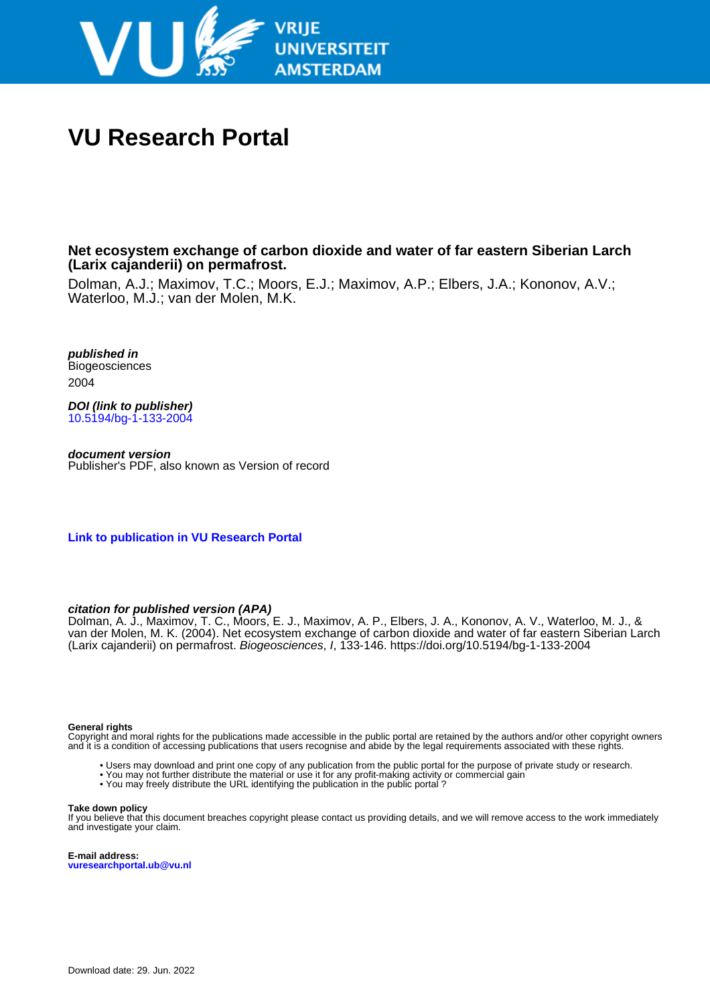

# **VU Research Portal**

**Net ecosystem exchange of carbon dioxide and water of far eastern Siberian Larch (Larix cajanderii) on permafrost.**

Dolman, A.J.; Maximov, T.C.; Moors, E.J.; Maximov, A.P.; Elbers, J.A.; Kononov, A.V.; Waterloo, M.J.; van der Molen, M.K.

**published in** Biogeosciences 2004

**DOI (link to publisher)** [10.5194/bg-1-133-2004](https://doi.org/10.5194/bg-1-133-2004)

**document version** Publisher's PDF, also known as Version of record

**[Link to publication in VU Research Portal](https://research.vu.nl/en/publications/8c2834e7-3380-4ca2-a17a-3a3ea0af7a18)**

# **citation for published version (APA)**

Dolman, A. J., Maximov, T. C., Moors, E. J., Maximov, A. P., Elbers, J. A., Kononov, A. V., Waterloo, M. J., & van der Molen, M. K. (2004). Net ecosystem exchange of carbon dioxide and water of far eastern Siberian Larch (Larix cajanderii) on permafrost. Biogeosciences, I, 133-146.<https://doi.org/10.5194/bg-1-133-2004>

#### **General rights**

Copyright and moral rights for the publications made accessible in the public portal are retained by the authors and/or other copyright owners and it is a condition of accessing publications that users recognise and abide by the legal requirements associated with these rights.

- Users may download and print one copy of any publication from the public portal for the purpose of private study or research.
- You may not further distribute the material or use it for any profit-making activity or commercial gain
- You may freely distribute the URL identifying the publication in the public portal ?

#### **Take down policy**

If you believe that this document breaches copyright please contact us providing details, and we will remove access to the work immediately and investigate your claim.

**E-mail address: vuresearchportal.ub@vu.nl**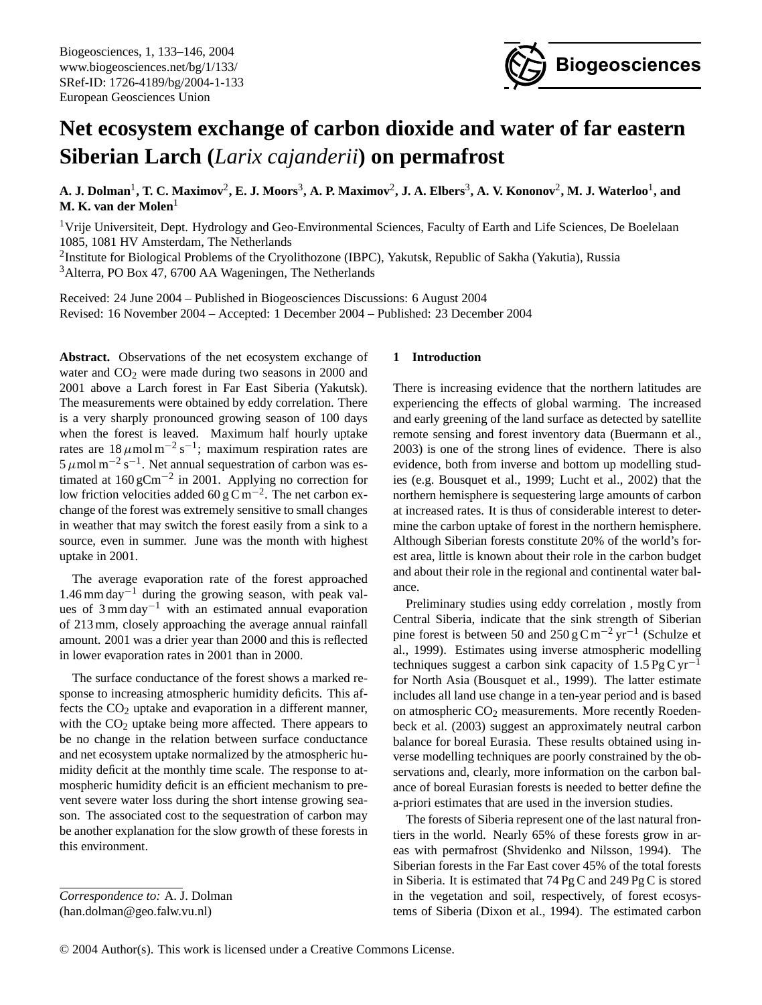

# **Net ecosystem exchange of carbon dioxide and water of far eastern Siberian Larch (***Larix cajanderii***) on permafrost**

A. J. Dolman<sup>1</sup>, T. C. Maximov<sup>2</sup>, E. J. Moors<sup>3</sup>, A. P. Maximov<sup>2</sup>, J. A. Elbers<sup>3</sup>, A. V. Kononov<sup>2</sup>, M. J. Waterloo<sup>1</sup>, and **M. K. van der Molen**<sup>1</sup>

<sup>1</sup>Vrije Universiteit, Dept. Hydrology and Geo-Environmental Sciences, Faculty of Earth and Life Sciences, De Boelelaan 1085, 1081 HV Amsterdam, The Netherlands

<sup>2</sup>Institute for Biological Problems of the Cryolithozone (IBPC), Yakutsk, Republic of Sakha (Yakutia), Russia <sup>3</sup>Alterra, PO Box 47, 6700 AA Wageningen, The Netherlands

Received: 24 June 2004 – Published in Biogeosciences Discussions: 6 August 2004 Revised: 16 November 2004 – Accepted: 1 December 2004 – Published: 23 December 2004

**Abstract.** Observations of the net ecosystem exchange of water and  $CO<sub>2</sub>$  were made during two seasons in 2000 and 2001 above a Larch forest in Far East Siberia (Yakutsk). The measurements were obtained by eddy correlation. There is a very sharply pronounced growing season of 100 days when the forest is leaved. Maximum half hourly uptake rates are  $18 \mu$ mol m<sup>-2</sup>s<sup>-1</sup>; maximum respiration rates are  $5 \mu$ mol m<sup>-2</sup> s<sup>-1</sup>. Net annual sequestration of carbon was estimated at  $160 \text{ gCm}^{-2}$  in 2001. Applying no correction for low friction velocities added 60 g C m<sup>-2</sup>. The net carbon exchange of the forest was extremely sensitive to small changes in weather that may switch the forest easily from a sink to a source, even in summer. June was the month with highest uptake in 2001.

The average evaporation rate of the forest approached  $1.46$  mm day<sup>-1</sup> during the growing season, with peak values of 3 mm day−<sup>1</sup> with an estimated annual evaporation of 213 mm, closely approaching the average annual rainfall amount. 2001 was a drier year than 2000 and this is reflected in lower evaporation rates in 2001 than in 2000.

The surface conductance of the forest shows a marked response to increasing atmospheric humidity deficits. This affects the  $CO<sub>2</sub>$  uptake and evaporation in a different manner, with the  $CO<sub>2</sub>$  uptake being more affected. There appears to be no change in the relation between surface conductance and net ecosystem uptake normalized by the atmospheric humidity deficit at the monthly time scale. The response to atmospheric humidity deficit is an efficient mechanism to prevent severe water loss during the short intense growing season. The associated cost to the sequestration of carbon may be another explanation for the slow growth of these forests in this environment.

# **1 Introduction**

There is increasing evidence that the northern latitudes are experiencing the effects of global warming. The increased and early greening of the land surface as detected by satellite remote sensing and forest inventory data (Buermann et al., 2003) is one of the strong lines of evidence. There is also evidence, both from inverse and bottom up modelling studies (e.g. Bousquet et al., 1999; Lucht et al., 2002) that the northern hemisphere is sequestering large amounts of carbon at increased rates. It is thus of considerable interest to determine the carbon uptake of forest in the northern hemisphere. Although Siberian forests constitute 20% of the world's forest area, little is known about their role in the carbon budget and about their role in the regional and continental water balance.

Preliminary studies using eddy correlation , mostly from Central Siberia, indicate that the sink strength of Siberian pine forest is between 50 and 250 g C m<sup>-2</sup> yr<sup>-1</sup> (Schulze et al., 1999). Estimates using inverse atmospheric modelling techniques suggest a carbon sink capacity of  $1.5 \text{PgC yr}^{-1}$ for North Asia (Bousquet et al., 1999). The latter estimate includes all land use change in a ten-year period and is based on atmospheric  $CO<sub>2</sub>$  measurements. More recently Roedenbeck et al. (2003) suggest an approximately neutral carbon balance for boreal Eurasia. These results obtained using inverse modelling techniques are poorly constrained by the observations and, clearly, more information on the carbon balance of boreal Eurasian forests is needed to better define the a-priori estimates that are used in the inversion studies.

The forests of Siberia represent one of the last natural frontiers in the world. Nearly 65% of these forests grow in areas with permafrost (Shvidenko and Nilsson, 1994). The Siberian forests in the Far East cover 45% of the total forests in Siberia. It is estimated that 74 Pg C and 249 Pg C is stored in the vegetation and soil, respectively, of forest ecosystems of Siberia (Dixon et al., 1994). The estimated carbon

<span id="page-1-0"></span>*Correspondence to:* A. J. Dolman (han.dolman@geo.falw.vu.nl)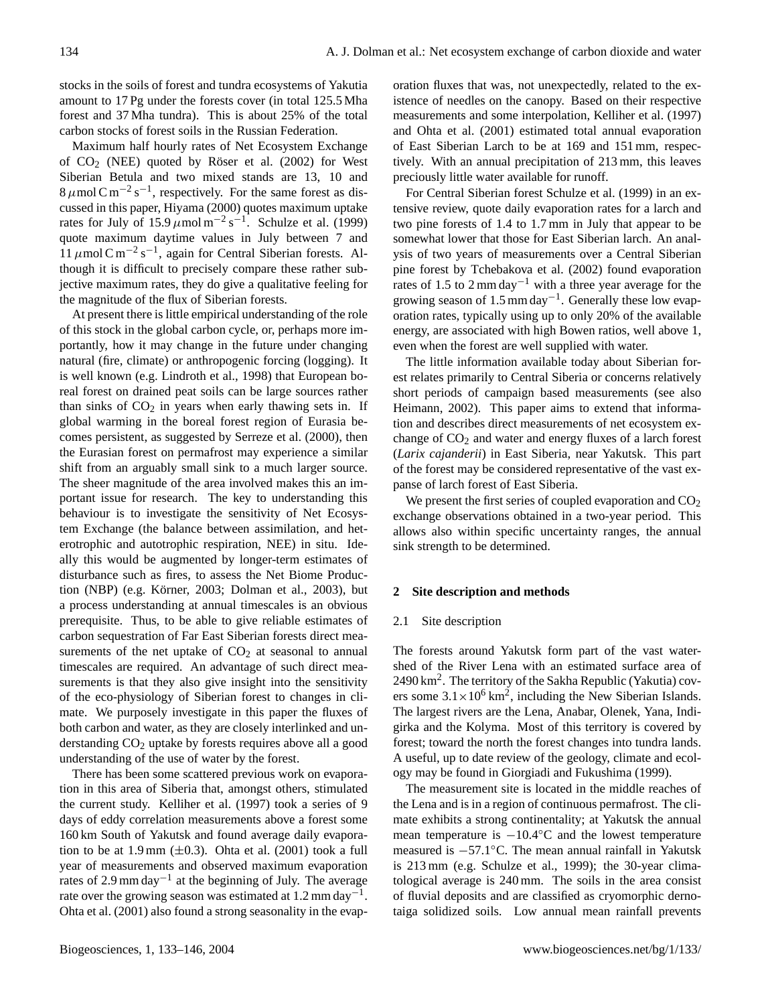stocks in the soils of forest and tundra ecosystems of Yakutia amount to 17 Pg under the forests cover (in total 125.5 Mha forest and 37 Mha tundra). This is about 25% of the total carbon stocks of forest soils in the Russian Federation.

Maximum half hourly rates of Net Ecosystem Exchange of  $CO<sub>2</sub>$  (NEE) quoted by Röser et al. (2002) for West Siberian Betula and two mixed stands are 13, 10 and  $8 \mu$ mol C m<sup>-2</sup> s<sup>-1</sup>, respectively. For the same forest as discussed in this paper, Hiyama (2000) quotes maximum uptake rates for July of 15.9  $\mu$ mol m<sup>-2</sup> s<sup>-1</sup>. Schulze et al. (1999) quote maximum daytime values in July between 7 and 11  $\mu$ mol C m<sup>-2</sup> s<sup>-1</sup>, again for Central Siberian forests. Although it is difficult to precisely compare these rather subjective maximum rates, they do give a qualitative feeling for the magnitude of the flux of Siberian forests.

At present there is little empirical understanding of the role of this stock in the global carbon cycle, or, perhaps more importantly, how it may change in the future under changing natural (fire, climate) or anthropogenic forcing (logging). It is well known (e.g. Lindroth et al., 1998) that European boreal forest on drained peat soils can be large sources rather than sinks of  $CO<sub>2</sub>$  in years when early thawing sets in. If global warming in the boreal forest region of Eurasia becomes persistent, as suggested by Serreze et al. (2000), then the Eurasian forest on permafrost may experience a similar shift from an arguably small sink to a much larger source. The sheer magnitude of the area involved makes this an important issue for research. The key to understanding this behaviour is to investigate the sensitivity of Net Ecosystem Exchange (the balance between assimilation, and heterotrophic and autotrophic respiration, NEE) in situ. Ideally this would be augmented by longer-term estimates of disturbance such as fires, to assess the Net Biome Production (NBP) (e.g. Körner, 2003; Dolman et al., 2003), but a process understanding at annual timescales is an obvious prerequisite. Thus, to be able to give reliable estimates of carbon sequestration of Far East Siberian forests direct measurements of the net uptake of  $CO<sub>2</sub>$  at seasonal to annual timescales are required. An advantage of such direct measurements is that they also give insight into the sensitivity of the eco-physiology of Siberian forest to changes in climate. We purposely investigate in this paper the fluxes of both carbon and water, as they are closely interlinked and understanding  $CO<sub>2</sub>$  uptake by forests requires above all a good understanding of the use of water by the forest.

There has been some scattered previous work on evaporation in this area of Siberia that, amongst others, stimulated the current study. Kelliher et al. (1997) took a series of 9 days of eddy correlation measurements above a forest some 160 km South of Yakutsk and found average daily evaporation to be at 1.9 mm  $(\pm 0.3)$ . Ohta et al. (2001) took a full year of measurements and observed maximum evaporation rates of 2.9 mm day−<sup>1</sup> at the beginning of July. The average rate over the growing season was estimated at  $1.2$  mm day<sup>-1</sup>. Ohta et al. (2001) also found a strong seasonality in the evaporation fluxes that was, not unexpectedly, related to the existence of needles on the canopy. Based on their respective measurements and some interpolation, Kelliher et al. (1997) and Ohta et al. (2001) estimated total annual evaporation of East Siberian Larch to be at 169 and 151 mm, respectively. With an annual precipitation of 213 mm, this leaves preciously little water available for runoff.

For Central Siberian forest Schulze et al. (1999) in an extensive review, quote daily evaporation rates for a larch and two pine forests of 1.4 to 1.7 mm in July that appear to be somewhat lower that those for East Siberian larch. An analysis of two years of measurements over a Central Siberian pine forest by Tchebakova et al. (2002) found evaporation rates of 1.5 to 2 mm day<sup>-1</sup> with a three year average for the growing season of  $1.5 \text{ mm day}^{-1}$ . Generally these low evaporation rates, typically using up to only 20% of the available energy, are associated with high Bowen ratios, well above 1, even when the forest are well supplied with water.

The little information available today about Siberian forest relates primarily to Central Siberia or concerns relatively short periods of campaign based measurements (see also Heimann, 2002). This paper aims to extend that information and describes direct measurements of net ecosystem exchange of  $CO<sub>2</sub>$  and water and energy fluxes of a larch forest (*Larix cajanderii*) in East Siberia, near Yakutsk. This part of the forest may be considered representative of the vast expanse of larch forest of East Siberia.

We present the first series of coupled evaporation and  $CO<sub>2</sub>$ exchange observations obtained in a two-year period. This allows also within specific uncertainty ranges, the annual sink strength to be determined.

#### **2 Site description and methods**

#### 2.1 Site description

The forests around Yakutsk form part of the vast watershed of the River Lena with an estimated surface area of 2490 km<sup>2</sup>. The territory of the Sakha Republic (Yakutia) covers some  $3.1 \times 10^6$  km<sup>2</sup>, including the New Siberian Islands. The largest rivers are the Lena, Anabar, Olenek, Yana, Indigirka and the Kolyma. Most of this territory is covered by forest; toward the north the forest changes into tundra lands. A useful, up to date review of the geology, climate and ecology may be found in Giorgiadi and Fukushima (1999).

The measurement site is located in the middle reaches of the Lena and is in a region of continuous permafrost. The climate exhibits a strong continentality; at Yakutsk the annual mean temperature is  $-10.4\degree C$  and the lowest temperature measured is −57.1◦C. The mean annual rainfall in Yakutsk is 213 mm (e.g. Schulze et al., 1999); the 30-year climatological average is 240 mm. The soils in the area consist of fluvial deposits and are classified as cryomorphic dernotaiga solidized soils. Low annual mean rainfall prevents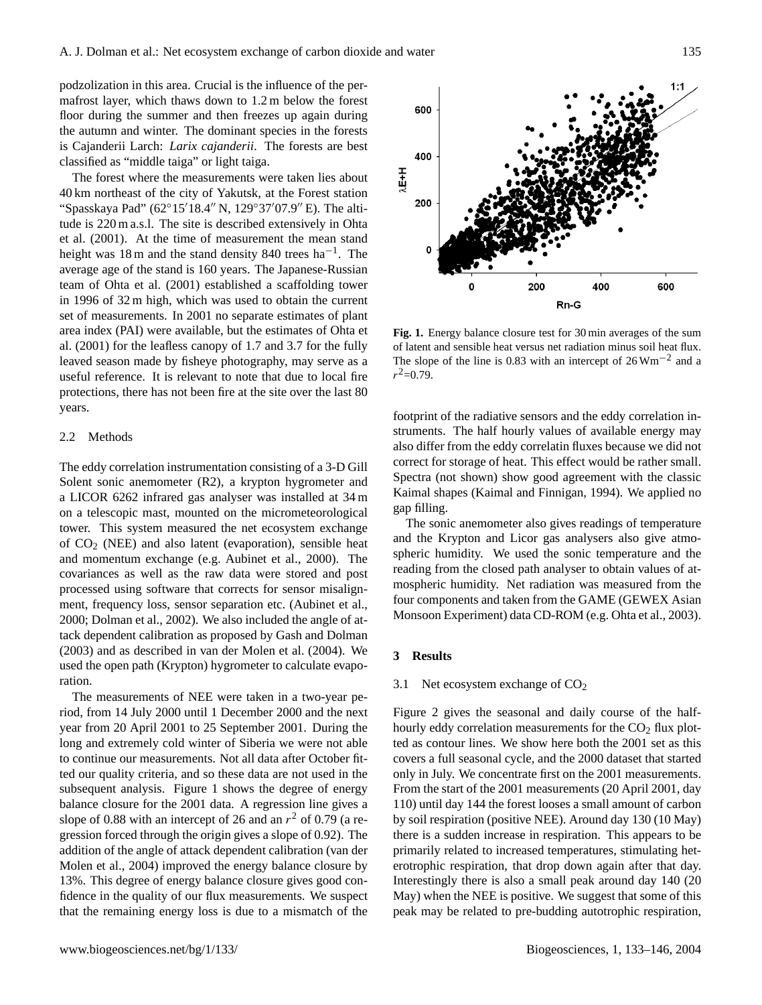podzolization in this area. Crucial is the influence of the permafrost layer, which thaws down to 1.2 m below the forest floor during the summer and then freezes up again during the autumn and winter. The dominant species in the forests is Cajanderii Larch: *Larix cajanderii*. The forests are best classified as "middle taiga" or light taiga.

The forest where the measurements were taken lies about 40 km northeast of the city of Yakutsk, at the Forest station "Spasskaya Pad" (62°15'18.4" N, 129°37'07.9" E). The altitude is 220 m a.s.l. The site is described extensively in Ohta et al. (2001). At the time of measurement the mean stand height was 18 m and the stand density 840 trees  $ha^{-1}$ . The average age of the stand is 160 years. The Japanese-Russian team of Ohta et al. (2001) established a scaffolding tower in 1996 of 32 m high, which was used to obtain the current set of measurements. In 2001 no separate estimates of plant area index (PAI) were available, but the estimates of Ohta et al. (2001) for the leafless canopy of 1.7 and 3.7 for the fully leaved season made by fisheye photography, may serve as a useful reference. It is relevant to note that due to local fire protections, there has not been fire at the site over the last 80 years.

#### 2.2 Methods

The eddy correlation instrumentation consisting of a 3-D Gill Solent sonic anemometer (R2), a krypton hygrometer and a LICOR 6262 infrared gas analyser was installed at 34 m on a telescopic mast, mounted on the micrometeorological tower. This system measured the net ecosystem exchange of  $CO<sub>2</sub>$  (NEE) and also latent (evaporation), sensible heat and momentum exchange (e.g. Aubinet et al., 2000). The covariances as well as the raw data were stored and post processed using software that corrects for sensor misalignment, frequency loss, sensor separation etc. (Aubinet et al., 2000; Dolman et al., 2002). We also included the angle of attack dependent calibration as proposed by Gash and Dolman (2003) and as described in van der Molen et al. (2004). We used the open path (Krypton) hygrometer to calculate evaporation.

The measurements of NEE were taken in a two-year period, from 14 July 2000 until 1 December 2000 and the next year from 20 April 2001 to 25 September 2001. During the long and extremely cold winter of Siberia we were not able to continue our measurements. Not all data after October fitted our quality criteria, and so these data are not used in the subsequent analysis. Figure 1 shows the degree of energy balance closure for the 2001 data. A regression line gives a slope of 0.88 with an intercept of 26 and an  $r^2$  of 0.79 (a regression forced through the origin gives a slope of 0.92). The addition of the angle of attack dependent calibration (van der Molen et al., 2004) improved the energy balance closure by 13%. This degree of energy balance closure gives good confidence in the quality of our flux measurements. We suspect that the remaining energy loss is due to a mismatch of the



**Fig. 1.** Energy balance closure test for 30 min averages of the sum of latent and sensible heat versus net radiation minus soil heat flux. The slope of the line is 0.83 with an intercept of  $26 \text{ Wm}^{-2}$  and a  $r^2 = 0.79$ .

 $\log$ . footprint of the radiative sensors and the eddy correlation instruments. The half hourly values of available energy may also differ from the eddy correlatin fluxes because we did not correct for storage of heat. This effect would be rather small. Spectra (not shown) show good agreement with the classic Kaimal shapes (Kaimal and Finnigan, 1994). We applied no gap filling.

and the Krypton and Licor gas analysers also give atmospheric humidity. We used the sonic temperature and the reading from the effect pain analyser to obtain variets of at mospheric humidity. Net radiation was measured from the reading from the closed path analyser to obtain values of at-The sonic anemometer also gives readings of temperature four components and taken from the GAME (GEWEX Asian Monsoon Experiment) data CD-ROM (e.g. Ohta et al., 2003).

### **3 Results**

# 3.1 Net ecosystem exchange of  $CO<sub>2</sub>$

Figure 2 gives the seasonal and daily course of the halfhourly eddy correlation measurements for the  $CO<sub>2</sub>$  flux plotted as contour lines. We show here both the 2001 set as this covers a full seasonal cycle, and the 2000 dataset that started only in July. We concentrate first on the 2001 measurements. From the start of the 2001 measurements (20 April 2001, day 110) until day 144 the forest looses a small amount of carbon by soil respiration (positive NEE). Around day 130 (10 May) there is a sudden increase in respiration. This appears to be primarily related to increased temperatures, stimulating heterotrophic respiration, that drop down again after that day. Interestingly there is also a small peak around day 140 (20 May) when the NEE is positive. We suggest that some of this peak may be related to pre-budding autotrophic respiration,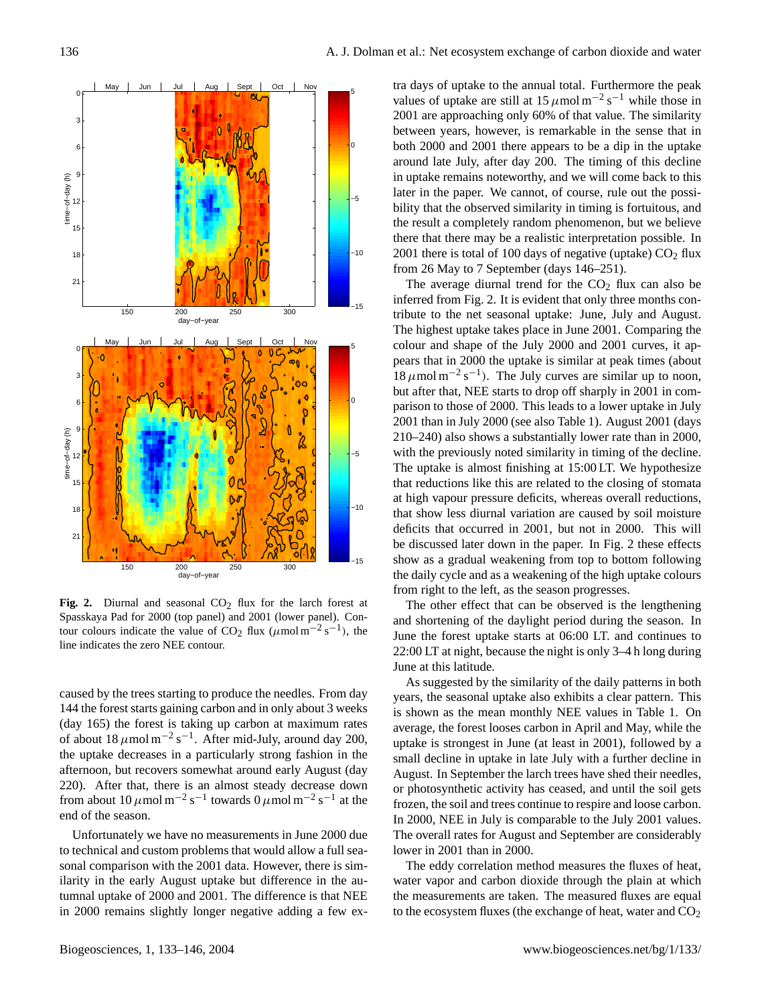

Fig. 2. Diurnal and seasonal CO<sub>2</sub> flux for the larch forest at Spasskaya Pad for 2000 (top panel) and 2001 (lower panel). Contour colours indicate the value of CO<sub>2</sub> flux ( $\mu$ mol m<sup>-2</sup> s<sup>-1</sup>), the line indicates the zero NEE contour.

caused by the trees starting to produce the needles. From day 144 the forest starts gaining carbon and in only about 3 weeks (day 165) the forest is taking up carbon at maximum rates of about  $18 \mu$ mol m<sup>-2</sup> s<sup>-1</sup>. After mid-July, around day 200, the uptake decreases in a particularly strong fashion in the afternoon, but recovers somewhat around early August (day 220). After that, there is an almost steady decrease down from about  $10 \mu$ mol m<sup>-2</sup> s<sup>-1</sup> towards  $0 \mu$ mol m<sup>-2</sup> s<sup>-1</sup> at the end of the season.

Unfortunately we have no measurements in June 2000 due to technical and custom problems that would allow a full seasonal comparison with the 2001 data. However, there is similarity in the early August uptake but difference in the autumnal uptake of 2000 and 2001. The difference is that NEE in 2000 remains slightly longer negative adding a few extra days of uptake to the annual total. Furthermore the peak values of uptake are still at  $15 \mu$ mol m<sup>-2</sup> s<sup>-1</sup> while those in 2001 are approaching only 60% of that value. The similarity between years, however, is remarkable in the sense that in both 2000 and 2001 there appears to be a dip in the uptake around late July, after day 200. The timing of this decline in uptake remains noteworthy, and we will come back to this later in the paper. We cannot, of course, rule out the possibility that the observed similarity in timing is fortuitous, and the result a completely random phenomenon, but we believe there that there may be a realistic interpretation possible. In 2001 there is total of 100 days of negative (uptake)  $CO<sub>2</sub>$  flux from 26 May to 7 September (days 146–251).

The average diurnal trend for the  $CO<sub>2</sub>$  flux can also be inferred from Fig. 2. It is evident that only three months contribute to the net seasonal uptake: June, July and August. The highest uptake takes place in June 2001. Comparing the colour and shape of the July 2000 and 2001 curves, it appears that in 2000 the uptake is similar at peak times (about  $18 \mu$ mol m<sup>-2</sup> s<sup>-1</sup>). The July curves are similar up to noon, but after that, NEE starts to drop off sharply in 2001 in comparison to those of 2000. This leads to a lower uptake in July 2001 than in July 2000 (see also Table 1). August 2001 (days 210–240) also shows a substantially lower rate than in 2000, with the previously noted similarity in timing of the decline. The uptake is almost finishing at 15:00 LT. We hypothesize that reductions like this are related to the closing of stomata at high vapour pressure deficits, whereas overall reductions, that show less diurnal variation are caused by soil moisture deficits that occurred in 2001, but not in 2000. This will be discussed later down in the paper. In Fig. 2 these effects show as a gradual weakening from top to bottom following the daily cycle and as a weakening of the high uptake colours from right to the left, as the season progresses.

The other effect that can be observed is the lengthening and shortening of the daylight period during the season. In June the forest uptake starts at 06:00 LT. and continues to 22:00 LT at night, because the night is only 3–4 h long during June at this latitude.

As suggested by the similarity of the daily patterns in both years, the seasonal uptake also exhibits a clear pattern. This is shown as the mean monthly NEE values in Table 1. On average, the forest looses carbon in April and May, while the uptake is strongest in June (at least in 2001), followed by a small decline in uptake in late July with a further decline in August. In September the larch trees have shed their needles, or photosynthetic activity has ceased, and until the soil gets frozen, the soil and trees continue to respire and loose carbon. In 2000, NEE in July is comparable to the July 2001 values. The overall rates for August and September are considerably lower in 2001 than in 2000.

The eddy correlation method measures the fluxes of heat, water vapor and carbon dioxide through the plain at which the measurements are taken. The measured fluxes are equal to the ecosystem fluxes (the exchange of heat, water and  $CO<sub>2</sub>$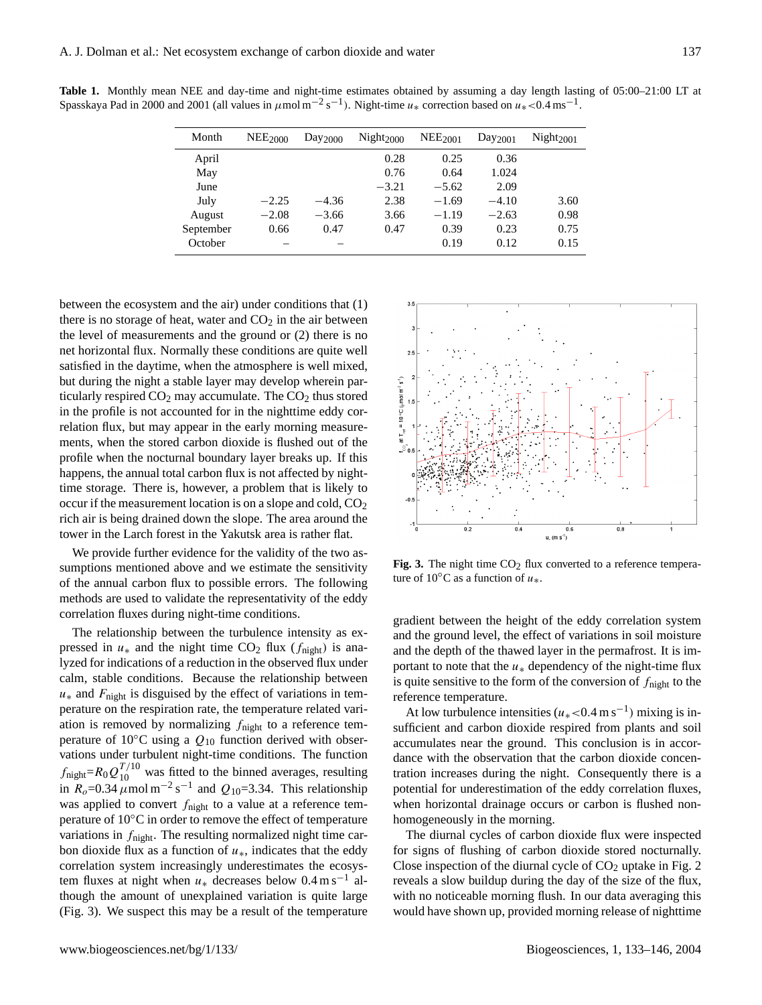| Month     | $NEE_{2000}$ | Day <sub>2000</sub> | Night <sub>2000</sub> | NEE <sub>2001</sub> | Day <sub>2001</sub> | Night <sub>2001</sub> |
|-----------|--------------|---------------------|-----------------------|---------------------|---------------------|-----------------------|
| April     |              |                     | 0.28                  | 0.25                | 0.36                |                       |
| May       |              |                     | 0.76                  | 0.64                | 1.024               |                       |
| June      |              |                     | $-3.21$               | $-5.62$             | 2.09                |                       |
| July      | $-2.25$      | $-4.36$             | 2.38                  | $-1.69$             | $-4.10$             | 3.60                  |
| August    | $-2.08$      | $-3.66$             | 3.66                  | $-1.19$             | $-2.63$             | 0.98                  |
| September | 0.66         | 0.47                | 0.47                  | 0.39                | 0.23                | 0.75                  |
| October   |              |                     |                       | 0.19                | 0.12                | 0.15                  |

**Table 1.** Monthly mean NEE and day-time and night-time estimates obtained by assuming a day length lasting of 05:00–21:00 LT at Spasskaya Pad in 2000 and 2001 (all values in  $\mu$ mol m<sup>-2</sup> s<sup>-1</sup>). Night-time  $u_*$  correction based on  $u_*$  <0.4 ms<sup>-1</sup>.

between the ecosystem and the air) under conditions that (1) there is no storage of heat, water and  $CO<sub>2</sub>$  in the air between the level of measurements and the ground or (2) there is no net horizontal flux. Normally these conditions are quite well satisfied in the daytime, when the atmosphere is well mixed, but during the night a stable layer may develop wherein particularly respired  $CO<sub>2</sub>$  may accumulate. The  $CO<sub>2</sub>$  thus stored in the profile is not accounted for in the nighttime eddy correlation flux, but may appear in the early morning measurements, when the stored carbon dioxide is flushed out of the profile when the nocturnal boundary layer breaks up. If this happens, the annual total carbon flux is not affected by nighttime storage. There is, however, a problem that is likely to occur if the measurement location is on a slope and cold,  $CO<sub>2</sub>$ rich air is being drained down the slope. The area around the tower in the Larch forest in the Yakutsk area is rather flat.

We provide further evidence for the validity of the two assumptions mentioned above and we estimate the sensitivity of the annual carbon flux to possible errors. The following methods are used to validate the representativity of the eddy correlation fluxes during night-time conditions.

The relationship between the turbulence intensity as expressed in  $u_*$  and the night time CO<sub>2</sub> flux ( $f_{\text{night}}$ ) is analyzed for indications of a reduction in the observed flux under calm, stable conditions. Because the relationship between  $u_*$  and  $F_{\text{night}}$  is disguised by the effect of variations in temperature on the respiration rate, the temperature related variation is removed by normalizing  $f_{\text{night}}$  to a reference temperature of 10 $\degree$ C using a  $Q_{10}$  function derived with observations under turbulent night-time conditions. The function  $f_{\text{night}} = R_0 Q_{10}^{T/10}$  was fitted to the binned averages, resulting in  $R_o$ =0.34  $\mu$ mol m<sup>-2</sup> s<sup>-1</sup> and Q<sub>10</sub>=3.34. This relationship was applied to convert  $f_{\text{night}}$  to a value at a reference temperature of 10◦C in order to remove the effect of temperature variations in  $f_{\text{night}}$ . The resulting normalized night time carbon dioxide flux as a function of  $u<sub>*</sub>$ , indicates that the eddy correlation system increasingly underestimates the ecosystem fluxes at night when  $u_*$  decreases below 0.4 m s<sup>-1</sup> although the amount of unexplained variation is quite large (Fig. 3). We suspect this may be a result of the temperature



Fig. 3. The night time  $CO<sub>2</sub>$  flux converted to a reference temperature of 10 $\degree$ C as a function of  $u_*$ .

gradient between the height of the eddy correlation system and the ground level, the effect of variations in soil moisture and the depth of the thawed layer in the permafrost. It is important to note that the  $u_*$  dependency of the night-time flux is quite sensitive to the form of the conversion of  $f_{\text{night}}$  to the reference temperature.

At low turbulence intensities  $(u_*(-0.4 \text{ m s}^{-1})$  mixing is insufficient and carbon dioxide respired from plants and soil accumulates near the ground. This conclusion is in accordance with the observation that the carbon dioxide concentration increases during the night. Consequently there is a potential for underestimation of the eddy correlation fluxes, when horizontal drainage occurs or carbon is flushed nonhomogeneously in the morning.

with no noticeable morning flush. In our data averaging this The diurnal cycles of carbon dioxide flux were inspected for signs of flushing of carbon dioxide stored nocturnally. Close inspection of the diurnal cycle of  $CO<sub>2</sub>$  uptake in Fig. 2 reveals a slow buildup during the day of the size of the flux, would have shown up, provided morning release of nighttime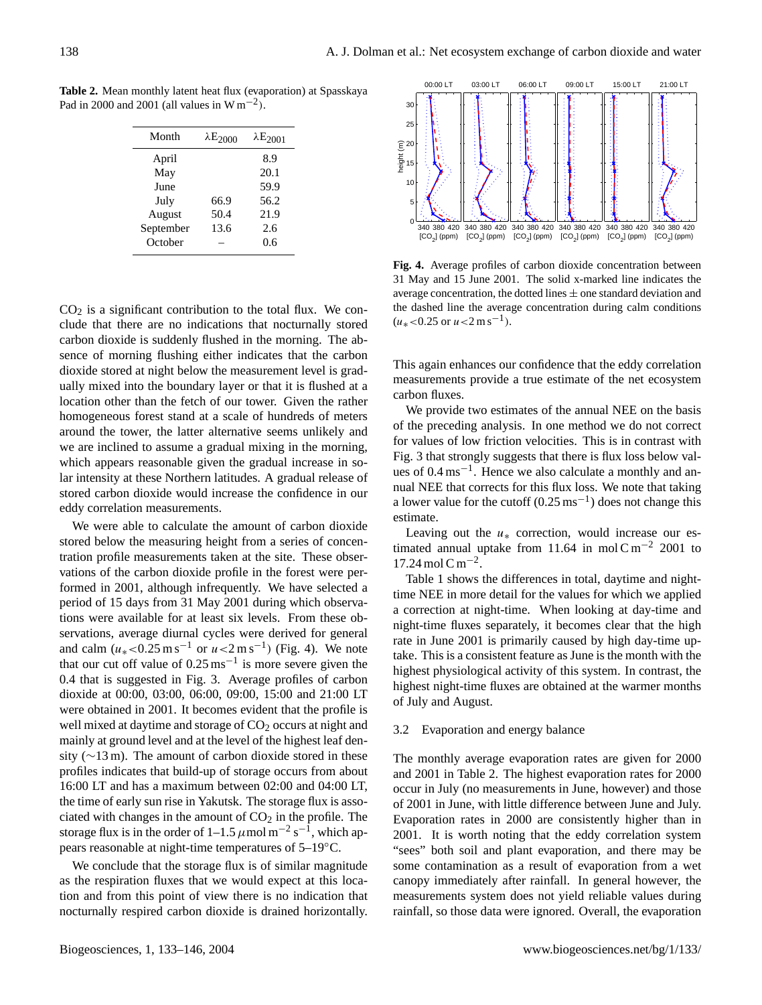**Table 2.** Mean monthly latent heat flux (evaporation) at Spasskaya Pad in 2000 and 2001 (all values in W m<sup>-2</sup>).

| $\lambda E_{2000}$ | $\lambda$ E <sub>2001</sub> |
|--------------------|-----------------------------|
|                    | 8.9                         |
|                    | 20.1                        |
|                    | 59.9                        |
| 66.9               | 56.2                        |
| 50.4               | 21.9                        |
| 13.6               | 2.6                         |
|                    | 0.6                         |
|                    |                             |

 $CO<sub>2</sub>$  is a significant contribution to the total flux. We conclude that there are no indications that nocturnally stored carbon dioxide is suddenly flushed in the morning. The absence of morning flushing either indicates that the carbon dioxide stored at night below the measurement level is gradually mixed into the boundary layer or that it is flushed at a location other than the fetch of our tower. Given the rather homogeneous forest stand at a scale of hundreds of meters around the tower, the latter alternative seems unlikely and we are inclined to assume a gradual mixing in the morning, which appears reasonable given the gradual increase in solar intensity at these Northern latitudes. A gradual release of stored carbon dioxide would increase the confidence in our eddy correlation measurements.

We were able to calculate the amount of carbon dioxide stored below the measuring height from a series of concentration profile measurements taken at the site. These observations of the carbon dioxide profile in the forest were performed in 2001, although infrequently. We have selected a period of 15 days from 31 May 2001 during which observations were available for at least six levels. From these observations, average diurnal cycles were derived for general and calm  $(u_*)$ <0.25 m s<sup>-1</sup> or  $u$  <2 m s<sup>-1</sup>) (Fig. 4). We note that our cut off value of  $0.25 \text{ ms}^{-1}$  is more severe given the 0.4 that is suggested in Fig. 3. Average profiles of carbon dioxide at 00:00, 03:00, 06:00, 09:00, 15:00 and 21:00 LT were obtained in 2001. It becomes evident that the profile is well mixed at daytime and storage of  $CO<sub>2</sub>$  occurs at night and mainly at ground level and at the level of the highest leaf density ( $\sim$ 13 m). The amount of carbon dioxide stored in these profiles indicates that build-up of storage occurs from about 16:00 LT and has a maximum between 02:00 and 04:00 LT, the time of early sun rise in Yakutsk. The storage flux is associated with changes in the amount of  $CO<sub>2</sub>$  in the profile. The storage flux is in the order of 1–1.5  $\mu$ mol m<sup>-2</sup> s<sup>-1</sup>, which appears reasonable at night-time temperatures of 5–19◦C.

We conclude that the storage flux is of similar magnitude as the respiration fluxes that we would expect at this location and from this point of view there is no indication that nocturnally respired carbon dioxide is drained horizontally.



**Fig. 4.** Average profiles of carbon dioxide concentration between 31 May and 15 June 2001. The solid x-marked line indicates the average concentration, the dotted lines  $\pm$  one standard deviation and the dashed line the average concentration during calm conditions  $(u_*<0.25 \text{ or } u<2 \text{ m s}^{-1}).$ 

This again enhances our confidence that the eddy correlation measurements provide a true estimate of the net ecosystem carbon fluxes.

We provide two estimates of the annual NEE on the basis of the preceding analysis. In one method we do not correct for values of low friction velocities. This is in contrast with Fig. 3 that strongly suggests that there is flux loss below values of 0.4 ms−<sup>1</sup> . Hence we also calculate a monthly and annual NEE that corrects for this flux loss. We note that taking a lower value for the cutoff  $(0.25 \text{ ms}^{-1})$  does not change this estimate.

Leaving out the  $u_*$  correction, would increase our estimated annual uptake from 11.64 in mol C m<sup>-2</sup> 2001 to 17.24 mol C m−<sup>2</sup> .

Table 1 shows the differences in total, daytime and nighttime NEE in more detail for the values for which we applied a correction at night-time. When looking at day-time and night-time fluxes separately, it becomes clear that the high rate in June 2001 is primarily caused by high day-time uptake. This is a consistent feature as June is the month with the highest physiological activity of this system. In contrast, the highest night-time fluxes are obtained at the warmer months of July and August.

# 3.2 Evaporation and energy balance

The monthly average evaporation rates are given for 2000 and 2001 in Table 2. The highest evaporation rates for 2000 occur in July (no measurements in June, however) and those of 2001 in June, with little difference between June and July. Evaporation rates in 2000 are consistently higher than in 2001. It is worth noting that the eddy correlation system "sees" both soil and plant evaporation, and there may be some contamination as a result of evaporation from a wet canopy immediately after rainfall. In general however, the measurements system does not yield reliable values during rainfall, so those data were ignored. Overall, the evaporation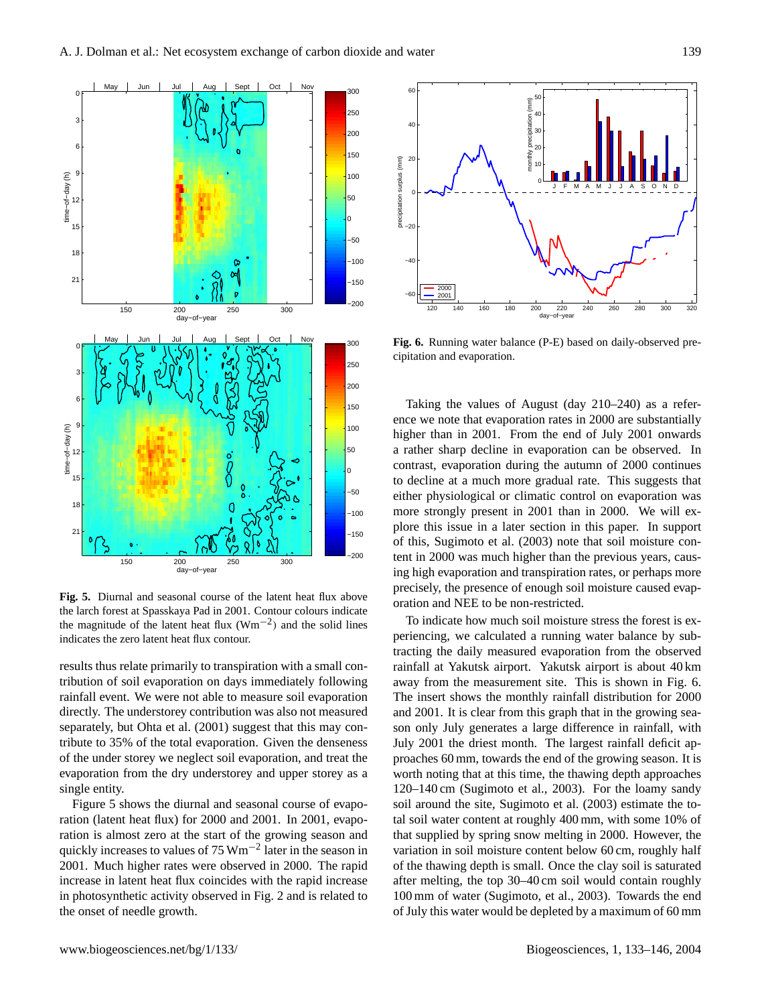

**Fig. 5.** Diurnal and seasonal course of the latent heat flux above the larch forest at Spasskaya Pad in 2001. Contour colours indicate the magnitude of the latent heat flux (Wm−<sup>2</sup> ) and the solid lines indicates the zero latent heat flux contour.

results thus relate primarily to transpiration with a small contribution of soil evaporation on days immediately following rainfall event. We were not able to measure soil evaporation directly. The understorey contribution was also not measured separately, but Ohta et al. (2001) suggest that this may contribute to 35% of the total evaporation. Given the denseness of the under storey we neglect soil evaporation, and treat the evaporation from the dry understorey and upper storey as a single entity.

Figure 5 shows the diurnal and seasonal course of evaporation (latent heat flux) for 2000 and 2001. In 2001, evaporation is almost zero at the start of the growing season and quickly increases to values of 75 Wm<sup>-2</sup> later in the season in 2001. Much higher rates were observed in 2000. The rapid increase in latent heat flux coincides with the rapid increase in photosynthetic activity observed in Fig. 2 and is related to the onset of needle growth.



**Fig. 6.** Running water balance (P-E) based on daily-observed precipitation and evaporation.

Taking the values of August (day 210–240) as a reference we note that evaporation rates in 2000 are substantially higher than in 2001. From the end of July 2001 onwards a rather sharp decline in evaporation can be observed. In contrast, evaporation during the autumn of 2000 continues to decline at a much more gradual rate. This suggests that either physiological or climatic control on evaporation was more strongly present in 2001 than in 2000. We will explore this issue in a later section in this paper. In support of this, Sugimoto et al. (2003) note that soil moisture content in 2000 was much higher than the previous years, causing high evaporation and transpiration rates, or perhaps more precisely, the presence of enough soil moisture caused evaporation and NEE to be non-restricted.

To indicate how much soil moisture stress the forest is experiencing, we calculated a running water balance by subtracting the daily measured evaporation from the observed rainfall at Yakutsk airport. Yakutsk airport is about 40 km away from the measurement site. This is shown in Fig. 6. The insert shows the monthly rainfall distribution for 2000 and 2001. It is clear from this graph that in the growing season only July generates a large difference in rainfall, with July 2001 the driest month. The largest rainfall deficit approaches 60 mm, towards the end of the growing season. It is worth noting that at this time, the thawing depth approaches 120–140 cm (Sugimoto et al., 2003). For the loamy sandy soil around the site, Sugimoto et al. (2003) estimate the total soil water content at roughly 400 mm, with some 10% of that supplied by spring snow melting in 2000. However, the variation in soil moisture content below 60 cm, roughly half of the thawing depth is small. Once the clay soil is saturated after melting, the top 30–40 cm soil would contain roughly 100 mm of water (Sugimoto, et al., 2003). Towards the end of July this water would be depleted by a maximum of 60 mm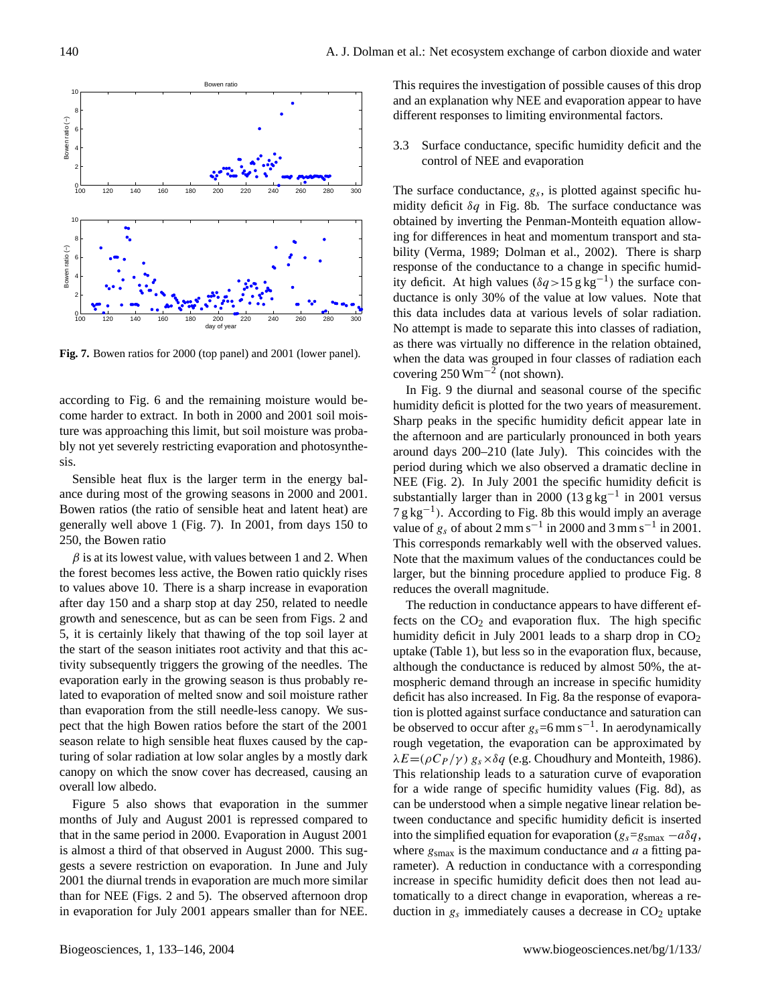

**Fig. 7.** Bowen ratios for 2000 (top panel) and 2001 (lower panel).

according to Fig. 6 and the remaining moisture would become harder to extract. In both in 2000 and 2001 soil moisture was approaching this limit, but soil moisture was probably not yet severely restricting evaporation and photosynthesis.

Sensible heat flux is the larger term in the energy balance during most of the growing seasons in 2000 and 2001. Bowen ratios (the ratio of sensible heat and latent heat) are generally well above 1 (Fig. 7). In 2001, from days 150 to 250, the Bowen ratio

 $\beta$  is at its lowest value, with values between 1 and 2. When the forest becomes less active, the Bowen ratio quickly rises to values above 10. There is a sharp increase in evaporation after day 150 and a sharp stop at day 250, related to needle growth and senescence, but as can be seen from Figs. 2 and 5, it is certainly likely that thawing of the top soil layer at the start of the season initiates root activity and that this activity subsequently triggers the growing of the needles. The evaporation early in the growing season is thus probably related to evaporation of melted snow and soil moisture rather than evaporation from the still needle-less canopy. We suspect that the high Bowen ratios before the start of the 2001 season relate to high sensible heat fluxes caused by the capturing of solar radiation at low solar angles by a mostly dark canopy on which the snow cover has decreased, causing an overall low albedo.

Figure 5 also shows that evaporation in the summer months of July and August 2001 is repressed compared to that in the same period in 2000. Evaporation in August 2001 is almost a third of that observed in August 2000. This suggests a severe restriction on evaporation. In June and July 2001 the diurnal trends in evaporation are much more similar than for NEE (Figs. 2 and 5). The observed afternoon drop in evaporation for July 2001 appears smaller than for NEE. This requires the investigation of possible causes of this drop and an explanation why NEE and evaporation appear to have different responses to limiting environmental factors.

3.3 Surface conductance, specific humidity deficit and the control of NEE and evaporation

The surface conductance,  $g_s$ , is plotted against specific humidity deficit  $\delta q$  in Fig. 8b. The surface conductance was obtained by inverting the Penman-Monteith equation allowing for differences in heat and momentum transport and stability (Verma, 1989; Dolman et al., 2002). There is sharp response of the conductance to a change in specific humidity deficit. At high values  $(\delta q > 15 \text{ g kg}^{-1})$  the surface conductance is only 30% of the value at low values. Note that this data includes data at various levels of solar radiation. No attempt is made to separate this into classes of radiation, as there was virtually no difference in the relation obtained, when the data was grouped in four classes of radiation each covering 250 Wm−<sup>2</sup> (not shown).

In Fig. 9 the diurnal and seasonal course of the specific humidity deficit is plotted for the two years of measurement. Sharp peaks in the specific humidity deficit appear late in the afternoon and are particularly pronounced in both years around days 200–210 (late July). This coincides with the period during which we also observed a dramatic decline in NEE (Fig. 2). In July 2001 the specific humidity deficit is substantially larger than in 2000 (13 g kg−<sup>1</sup> in 2001 versus 7 g kg<sup>-1</sup>). According to Fig. 8b this would imply an average value of  $g_s$  of about 2 mm s<sup>-1</sup> in 2000 and 3 mm s<sup>-1</sup> in 2001. This corresponds remarkably well with the observed values. Note that the maximum values of the conductances could be larger, but the binning procedure applied to produce Fig. 8 reduces the overall magnitude.

The reduction in conductance appears to have different effects on the  $CO<sub>2</sub>$  and evaporation flux. The high specific humidity deficit in July 2001 leads to a sharp drop in  $CO<sub>2</sub>$ uptake (Table 1), but less so in the evaporation flux, because, although the conductance is reduced by almost 50%, the atmospheric demand through an increase in specific humidity deficit has also increased. In Fig. 8a the response of evaporation is plotted against surface conductance and saturation can be observed to occur after  $g_s = 6$  mm s<sup>-1</sup>. In aerodynamically rough vegetation, the evaporation can be approximated by  $\lambda E = (\rho C_P / \gamma) g_s \times \delta q$  (e.g. Choudhury and Monteith, 1986). This relationship leads to a saturation curve of evaporation for a wide range of specific humidity values (Fig. 8d), as can be understood when a simple negative linear relation between conductance and specific humidity deficit is inserted into the simplified equation for evaporation ( $g_s = g<sub>smax</sub> - a\delta q$ , where  $g<sub>smax</sub>$  is the maximum conductance and a a fitting parameter). A reduction in conductance with a corresponding increase in specific humidity deficit does then not lead automatically to a direct change in evaporation, whereas a reduction in  $g_s$  immediately causes a decrease in  $CO<sub>2</sub>$  uptake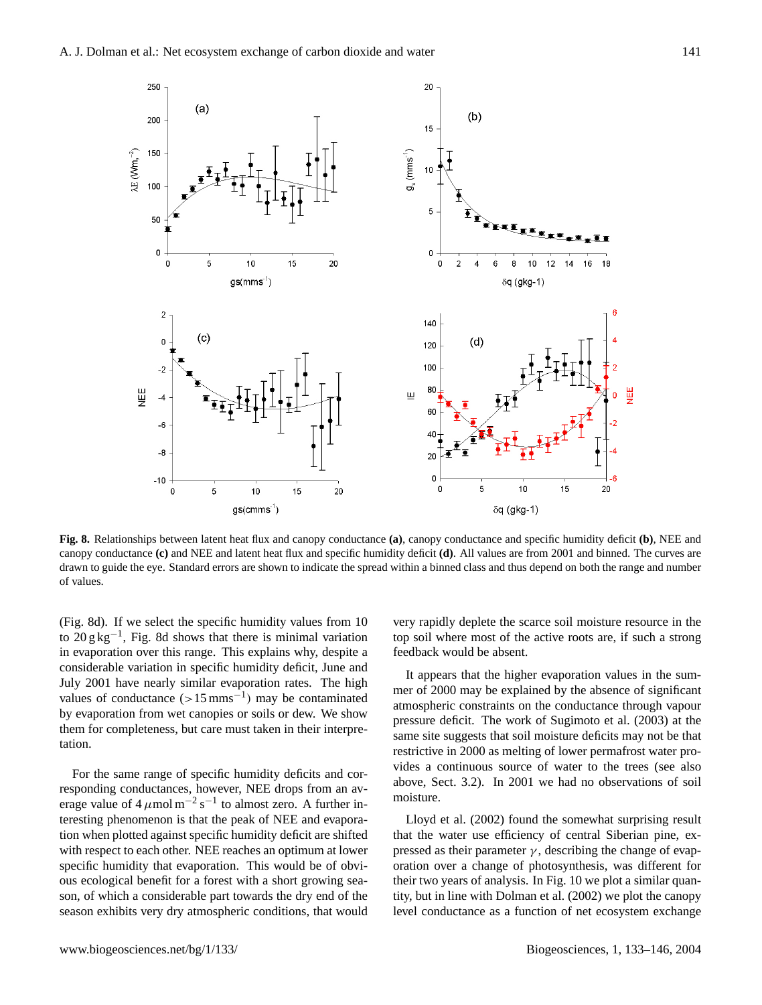

**Fig. 8.** Relationships between latent heat flux and canopy conductance **(a)**, canopy conductance and specific humidity deficit **(b)**, NEE and canopy conductance **(c)** and NEE and latent heat flux and specific humidity deficit **(d)**. All values are from 2001 and binned. The curves are drawn to guide the eye. Standard errors are shown to indicate the spread within a binned class and thus depend on both the range and number of values.

In evaporation over this range. This explains why, despite a recurrect would be absent.<br>
considerable variation in specific humidity deficit, June and the present that the higher eveneration value by evaporation from wet canopies or soils or dew. We show atmospheric constraints on the conductance in them for completeness, but care must taken in their interpre-(Fig. 8d). If we select the specific humidity values from 10 to  $20 \text{ g kg}^{-1}$ , Fig. 8d shows that there is minimal variation in evaporation over this range. This explains why, despite a July 2001 have nearly similar evaporation rates. The high values of conductance  $(>15 \text{ mm s}^{-1})$  may be contaminated tation.

For the same range of specific humidity deficits and corresponding conductances, however, NEE drops from an average value of  $4 \mu$ mol m<sup>-2</sup> s<sup>-1</sup> to almost zero. A further interesting phenomenon is that the peak of NEE and evaporation when plotted against specific humidity deficit are shifted with respect to each other. NEE reaches an optimum at lower specific humidity that evaporation. This would be of obvious ecological benefit for a forest with a short growing season, of which a considerable part towards the dry end of the season exhibits very dry atmospheric conditions, that would

hat there is minimal variation top soil where most of the active roots are, if such a strong very rapidly deplete the scarce soil moisture resource in the feedback would be absent.

to generation rates. The high mer of 2000 may be explained by the absence of significant  $\frac{m}{\sqrt{2}}$ It appears that the higher evaporation values in the sumatmospheric constraints on the conductance through vapour pressure deficit. The work of Sugimoto et al. (2003) at the same site suggests that soil moisture deficits may not be that restrictive in 2000 as melting of lower permafrost water provides a continuous source of water to the trees (see also above, Sect. 3.2). In 2001 we had no observations of soil moisture.

> Lloyd et al. (2002) found the somewhat surprising result that the water use efficiency of central Siberian pine, expressed as their parameter  $\gamma$ , describing the change of evaporation over a change of photosynthesis, was different for their two years of analysis. In Fig. 10 we plot a similar quantity, but in line with Dolman et al. (2002) we plot the canopy level conductance as a function of net ecosystem exchange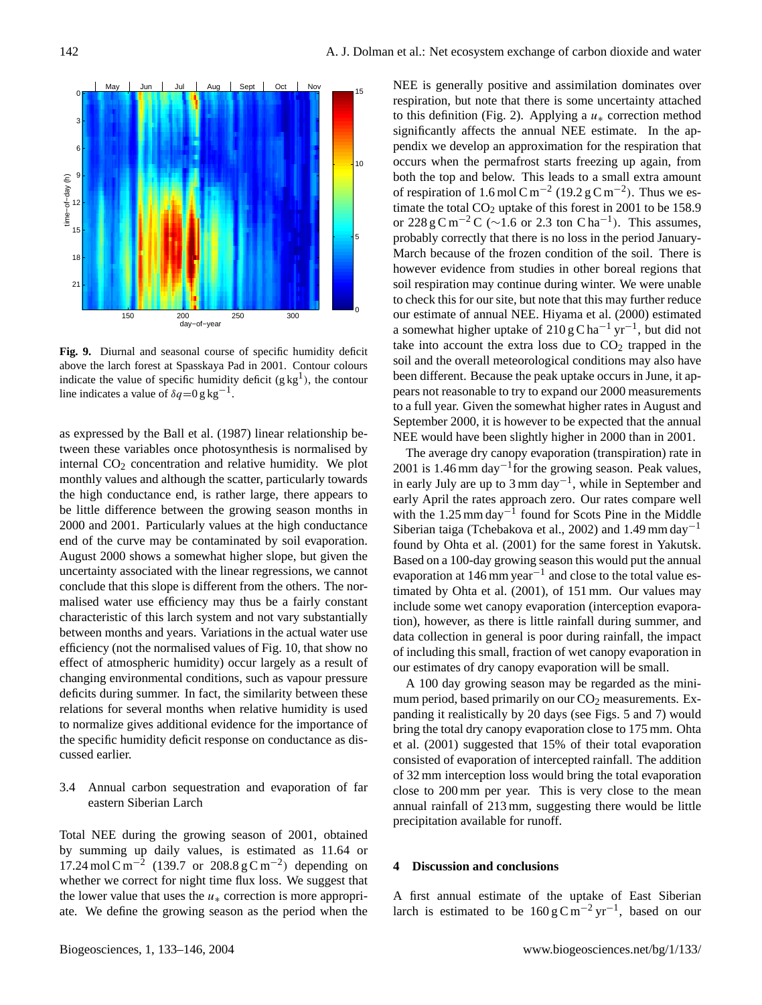

**Fig. 9.** Diurnal and seasonal course of specific humidity deficit above the larch forest at Spasskaya Pad in 2001. Contour colours indicate the value of specific humidity deficit  $(g kg<sup>1</sup>)$ , the contour line indicates a value of  $\delta q = 0$  g kg<sup>-1</sup>.

as expressed by the Ball et al. (1987) linear relationship between these variables once photosynthesis is normalised by internal  $CO<sub>2</sub>$  concentration and relative humidity. We plot monthly values and although the scatter, particularly towards the high conductance end, is rather large, there appears to be little difference between the growing season months in 2000 and 2001. Particularly values at the high conductance end of the curve may be contaminated by soil evaporation. August 2000 shows a somewhat higher slope, but given the uncertainty associated with the linear regressions, we cannot conclude that this slope is different from the others. The normalised water use efficiency may thus be a fairly constant characteristic of this larch system and not vary substantially between months and years. Variations in the actual water use efficiency (not the normalised values of Fig. 10, that show no effect of atmospheric humidity) occur largely as a result of changing environmental conditions, such as vapour pressure deficits during summer. In fact, the similarity between these relations for several months when relative humidity is used to normalize gives additional evidence for the importance of the specific humidity deficit response on conductance as discussed earlier.

# 3.4 Annual carbon sequestration and evaporation of far eastern Siberian Larch

Total NEE during the growing season of 2001, obtained by summing up daily values, is estimated as 11.64 or 17.24 mol Cm<sup>-2</sup> (139.7 or 208.8 g Cm<sup>-2</sup>) depending on whether we correct for night time flux loss. We suggest that the lower value that uses the  $u_*$  correction is more appropriate. We define the growing season as the period when the NEE is generally positive and assimilation dominates over respiration, but note that there is some uncertainty attached to this definition (Fig. 2). Applying a  $u_*$  correction method significantly affects the annual NEE estimate. In the appendix we develop an approximation for the respiration that occurs when the permafrost starts freezing up again, from both the top and below. This leads to a small extra amount of respiration of 1.6 mol C m<sup>-2</sup> (19.2 g C m<sup>-2</sup>). Thus we estimate the total  $CO<sub>2</sub>$  uptake of this forest in 2001 to be 158.9 or 228 g C m<sup>-2</sup> C ( $\sim$ 1.6 or 2.3 ton C ha<sup>-1</sup>). This assumes, probably correctly that there is no loss in the period January-March because of the frozen condition of the soil. There is however evidence from studies in other boreal regions that soil respiration may continue during winter. We were unable to check this for our site, but note that this may further reduce our estimate of annual NEE. Hiyama et al. (2000) estimated a somewhat higher uptake of 210 g C ha<sup>-1</sup> yr<sup>-1</sup>, but did not take into account the extra loss due to  $CO<sub>2</sub>$  trapped in the soil and the overall meteorological conditions may also have been different. Because the peak uptake occurs in June, it appears not reasonable to try to expand our 2000 measurements to a full year. Given the somewhat higher rates in August and September 2000, it is however to be expected that the annual NEE would have been slightly higher in 2000 than in 2001.

The average dry canopy evaporation (transpiration) rate in 2001 is 1.46 mm day<sup>-1</sup> for the growing season. Peak values, in early July are up to 3 mm day−<sup>1</sup> , while in September and early April the rates approach zero. Our rates compare well with the 1.25 mm day<sup>-1</sup> found for Scots Pine in the Middle Siberian taiga (Tchebakova et al., 2002) and 1.49 mm day−<sup>1</sup> found by Ohta et al. (2001) for the same forest in Yakutsk. Based on a 100-day growing season this would put the annual evaporation at 146 mm year<sup>-1</sup> and close to the total value estimated by Ohta et al. (2001), of 151 mm. Our values may include some wet canopy evaporation (interception evaporation), however, as there is little rainfall during summer, and data collection in general is poor during rainfall, the impact of including this small, fraction of wet canopy evaporation in our estimates of dry canopy evaporation will be small.

A 100 day growing season may be regarded as the minimum period, based primarily on our  $CO<sub>2</sub>$  measurements. Expanding it realistically by 20 days (see Figs. 5 and 7) would bring the total dry canopy evaporation close to 175 mm. Ohta et al. (2001) suggested that 15% of their total evaporation consisted of evaporation of intercepted rainfall. The addition of 32 mm interception loss would bring the total evaporation close to 200 mm per year. This is very close to the mean annual rainfall of 213 mm, suggesting there would be little precipitation available for runoff.

# **4 Discussion and conclusions**

A first annual estimate of the uptake of East Siberian larch is estimated to be  $160 \text{ g C m}^{-2} \text{ yr}^{-1}$ , based on our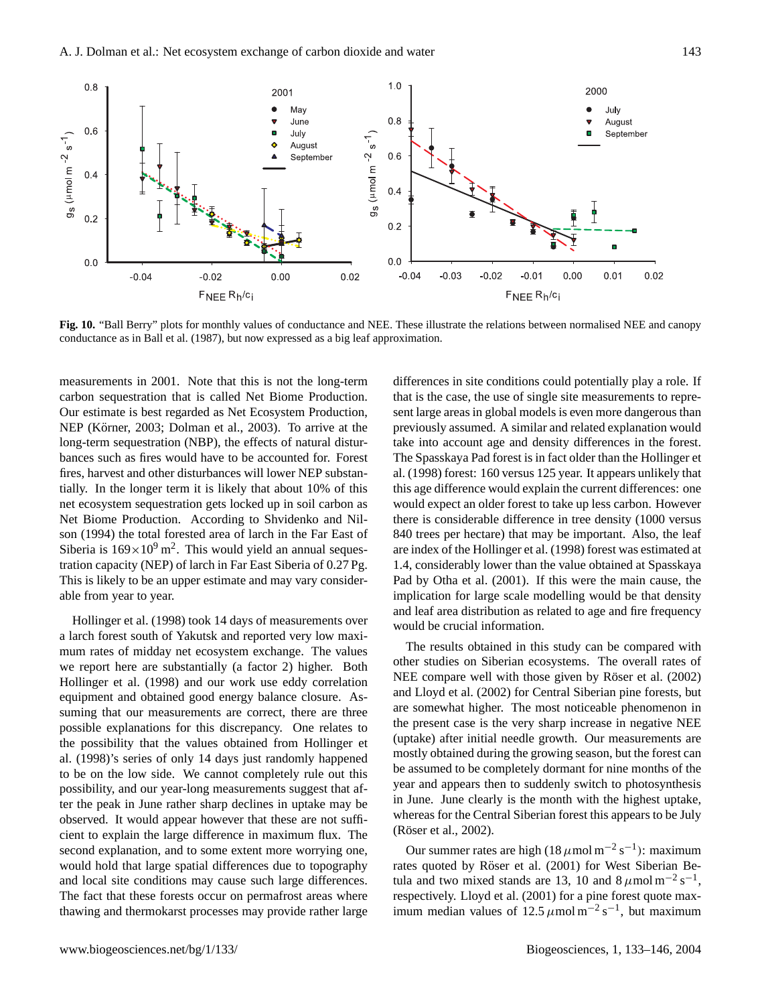

**Fig. 10.** "Ball Berry" plots for monthly values of conductance and NEE. These illustrate the relations between normalised NEE and canopy conductance as in Ball et al. (1987), but now expressed as a big leaf approximation.

measurements in 2001. Note that this is not the long-term carbon sequestration that is called Net Biome Production. Our estimate is best regarded as Net Ecosystem Production, NEP (Körner, 2003; Dolman et al., 2003). To arrive at the long-term sequestration (NBP), the effects of natural disturbances such as fires would have to be accounted for. Forest fires, harvest and other disturbances will lower NEP substantially. In the longer term it is likely that about 10% of this net ecosystem sequestration gets locked up in soil carbon as Net Biome Production. According to Shvidenko and Nilson (1994) the total forested area of larch in the Far East of Siberia is  $169 \times 10^9$  m<sup>2</sup>. This would yield an annual sequestration capacity (NEP) of larch in Far East Siberia of 0.27 Pg. This is likely to be an upper estimate and may vary considerable from year to year.

Hollinger et al. (1998) took 14 days of measurements over a larch forest south of Yakutsk and reported very low maximum rates of midday net ecosystem exchange. The values we report here are substantially (a factor 2) higher. Both Hollinger et al. (1998) and our work use eddy correlation equipment and obtained good energy balance closure. Assuming that our measurements are correct, there are three possible explanations for this discrepancy. One relates to the possibility that the values obtained from Hollinger et al. (1998)'s series of only 14 days just randomly happened to be on the low side. We cannot completely rule out this possibility, and our year-long measurements suggest that after the peak in June rather sharp declines in uptake may be observed. It would appear however that these are not sufficient to explain the large difference in maximum flux. The second explanation, and to some extent more worrying one, would hold that large spatial differences due to topography and local site conditions may cause such large differences. The fact that these forests occur on permafrost areas where thawing and thermokarst processes may provide rather large differences in site conditions could potentially play a role. If that is the case, the use of single site measurements to represent large areas in global models is even more dangerous than previously assumed. A similar and related explanation would take into account age and density differences in the forest. The Spasskaya Pad forest is in fact older than the Hollinger et al. (1998) forest: 160 versus 125 year. It appears unlikely that this age difference would explain the current differences: one would expect an older forest to take up less carbon. However there is considerable difference in tree density (1000 versus 840 trees per hectare) that may be important. Also, the leaf are index of the Hollinger et al. (1998) forest was estimated at 1.4, considerably lower than the value obtained at Spasskaya Pad by Otha et al. (2001). If this were the main cause, the implication for large scale modelling would be that density and leaf area distribution as related to age and fire frequency would be crucial information.

The results obtained in this study can be compared with other studies on Siberian ecosystems. The overall rates of NEE compare well with those given by Röser et al. (2002) and Lloyd et al. (2002) for Central Siberian pine forests, but are somewhat higher. The most noticeable phenomenon in the present case is the very sharp increase in negative NEE (uptake) after initial needle growth. Our measurements are mostly obtained during the growing season, but the forest can be assumed to be completely dormant for nine months of the year and appears then to suddenly switch to photosynthesis in June. June clearly is the month with the highest uptake, whereas for the Central Siberian forest this appears to be July (Röser et al., 2002).

Our summer rates are high (18  $\mu$ mol m<sup>-2</sup> s<sup>-1</sup>): maximum rates quoted by Röser et al. (2001) for West Siberian Betula and two mixed stands are 13, 10 and  $8 \mu$ mol m<sup>-2</sup> s<sup>-1</sup>, respectively. Lloyd et al. (2001) for a pine forest quote maximum median values of  $12.5 \mu$ mol m<sup>-2</sup> s<sup>-1</sup>, but maximum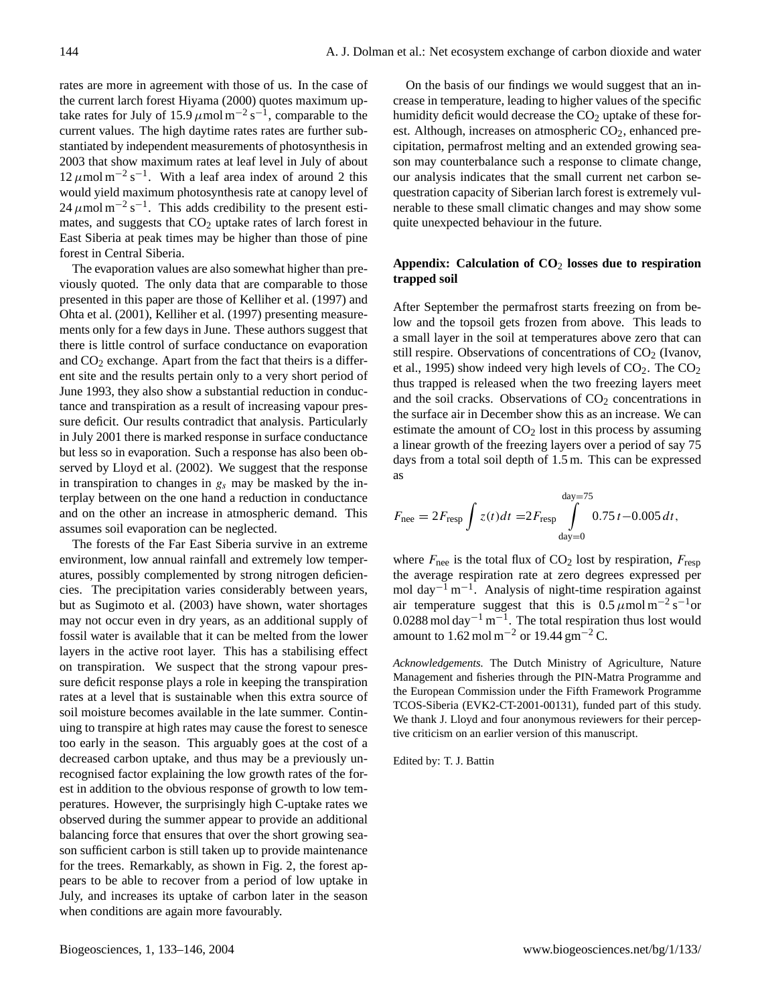rates are more in agreement with those of us. In the case of the current larch forest Hiyama (2000) quotes maximum uptake rates for July of 15.9  $\mu$ mol m<sup>-2</sup> s<sup>-1</sup>, comparable to the current values. The high daytime rates rates are further substantiated by independent measurements of photosynthesis in 2003 that show maximum rates at leaf level in July of about 12 μmol m<sup>-2</sup> s<sup>-1</sup>. With a leaf area index of around 2 this would yield maximum photosynthesis rate at canopy level of  $24 \mu$ mol m<sup>-2</sup> s<sup>-1</sup>. This adds credibility to the present estimates, and suggests that  $CO<sub>2</sub>$  uptake rates of larch forest in East Siberia at peak times may be higher than those of pine forest in Central Siberia.

The evaporation values are also somewhat higher than previously quoted. The only data that are comparable to those presented in this paper are those of Kelliher et al. (1997) and Ohta et al. (2001), Kelliher et al. (1997) presenting measurements only for a few days in June. These authors suggest that there is little control of surface conductance on evaporation and  $CO<sub>2</sub>$  exchange. Apart from the fact that theirs is a different site and the results pertain only to a very short period of June 1993, they also show a substantial reduction in conductance and transpiration as a result of increasing vapour pressure deficit. Our results contradict that analysis. Particularly in July 2001 there is marked response in surface conductance but less so in evaporation. Such a response has also been observed by Lloyd et al. (2002). We suggest that the response in transpiration to changes in  $g_s$  may be masked by the interplay between on the one hand a reduction in conductance and on the other an increase in atmospheric demand. This assumes soil evaporation can be neglected.

The forests of the Far East Siberia survive in an extreme environment, low annual rainfall and extremely low temperatures, possibly complemented by strong nitrogen deficiencies. The precipitation varies considerably between years, but as Sugimoto et al. (2003) have shown, water shortages may not occur even in dry years, as an additional supply of fossil water is available that it can be melted from the lower layers in the active root layer. This has a stabilising effect on transpiration. We suspect that the strong vapour pressure deficit response plays a role in keeping the transpiration rates at a level that is sustainable when this extra source of soil moisture becomes available in the late summer. Continuing to transpire at high rates may cause the forest to senesce too early in the season. This arguably goes at the cost of a decreased carbon uptake, and thus may be a previously unrecognised factor explaining the low growth rates of the forest in addition to the obvious response of growth to low temperatures. However, the surprisingly high C-uptake rates we observed during the summer appear to provide an additional balancing force that ensures that over the short growing season sufficient carbon is still taken up to provide maintenance for the trees. Remarkably, as shown in Fig. 2, the forest appears to be able to recover from a period of low uptake in July, and increases its uptake of carbon later in the season when conditions are again more favourably.

On the basis of our findings we would suggest that an increase in temperature, leading to higher values of the specific humidity deficit would decrease the  $CO<sub>2</sub>$  uptake of these forest. Although, increases on atmospheric  $CO<sub>2</sub>$ , enhanced precipitation, permafrost melting and an extended growing season may counterbalance such a response to climate change, our analysis indicates that the small current net carbon sequestration capacity of Siberian larch forest is extremely vulnerable to these small climatic changes and may show some quite unexpected behaviour in the future.

# **Appendix: Calculation of CO**<sup>2</sup> **losses due to respiration trapped soil**

After September the permafrost starts freezing on from below and the topsoil gets frozen from above. This leads to a small layer in the soil at temperatures above zero that can still respire. Observations of concentrations of  $CO<sub>2</sub>$  (Ivanov, et al., 1995) show indeed very high levels of  $CO<sub>2</sub>$ . The  $CO<sub>2</sub>$ thus trapped is released when the two freezing layers meet and the soil cracks. Observations of  $CO<sub>2</sub>$  concentrations in the surface air in December show this as an increase. We can estimate the amount of  $CO<sub>2</sub>$  lost in this process by assuming a linear growth of the freezing layers over a period of say 75 days from a total soil depth of 1.5 m. This can be expressed as

$$
F_{\text{nee}} = 2F_{\text{resp}} \int z(t)dt = 2F_{\text{resp}} \int_{\text{day}=0}^{\text{day}=75} 0.75 t - 0.005 dt,
$$

where  $F_{\text{nee}}$  is the total flux of  $CO_2$  lost by respiration,  $F_{\text{resp}}$ the average respiration rate at zero degrees expressed per mol day<sup>-1</sup> m<sup>-1</sup>. Analysis of night-time respiration against air temperature suggest that this is  $0.5 \mu$  mol m<sup>-2</sup> s<sup>-1</sup>or 0.0288 mol day<sup>-1</sup> m<sup>-1</sup>. The total respiration thus lost would amount to 1.62 mol m<sup>-2</sup> or 19.44 gm<sup>-2</sup> C.

*Acknowledgements.* The Dutch Ministry of Agriculture, Nature Management and fisheries through the PIN-Matra Programme and the European Commission under the Fifth Framework Programme TCOS-Siberia (EVK2-CT-2001-00131), funded part of this study. We thank J. Lloyd and four anonymous reviewers for their perceptive criticism on an earlier version of this manuscript.

Edited by: T. J. Battin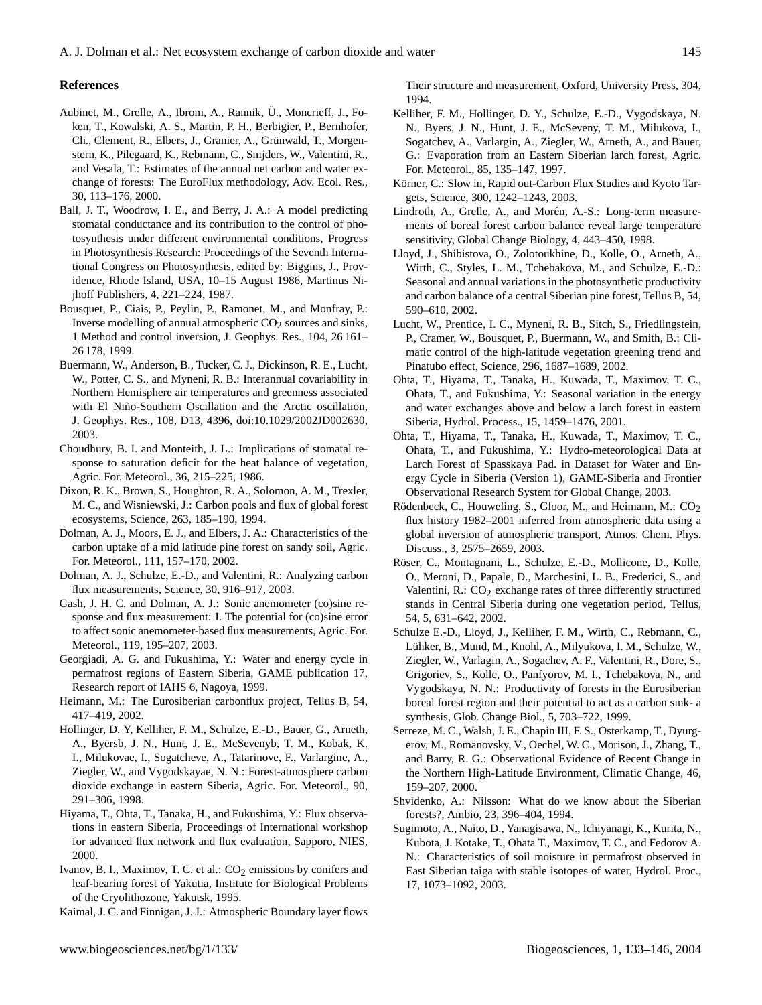#### **References**

- Aubinet, M., Grelle, A., Ibrom, A., Rannik, Ü., Moncrieff, J., Foken, T., Kowalski, A. S., Martin, P. H., Berbigier, P., Bernhofer, Ch., Clement, R., Elbers, J., Granier, A., Grünwald, T., Morgenstern, K., Pilegaard, K., Rebmann, C., Snijders, W., Valentini, R., and Vesala, T.: Estimates of the annual net carbon and water exchange of forests: The EuroFlux methodology, Adv. Ecol. Res., 30, 113–176, 2000.
- Ball, J. T., Woodrow, I. E., and Berry, J. A.: A model predicting stomatal conductance and its contribution to the control of photosynthesis under different environmental conditions, Progress in Photosynthesis Research: Proceedings of the Seventh International Congress on Photosynthesis, edited by: Biggins, J., Providence, Rhode Island, USA, 10–15 August 1986, Martinus Nijhoff Publishers, 4, 221–224, 1987.
- Bousquet, P., Ciais, P., Peylin, P., Ramonet, M., and Monfray, P.: Inverse modelling of annual atmospheric  $CO<sub>2</sub>$  sources and sinks, 1 Method and control inversion, J. Geophys. Res., 104, 26 161– 26 178, 1999.
- Buermann, W., Anderson, B., Tucker, C. J., Dickinson, R. E., Lucht, W., Potter, C. S., and Myneni, R. B.: Interannual covariability in Northern Hemisphere air temperatures and greenness associated with El Niño-Southern Oscillation and the Arctic oscillation, J. Geophys. Res., 108, D13, 4396, doi:10.1029/2002JD002630, 2003.
- Choudhury, B. I. and Monteith, J. L.: Implications of stomatal response to saturation deficit for the heat balance of vegetation, Agric. For. Meteorol., 36, 215–225, 1986.
- Dixon, R. K., Brown, S., Houghton, R. A., Solomon, A. M., Trexler, M. C., and Wisniewski, J.: Carbon pools and flux of global forest ecosystems, Science, 263, 185–190, 1994.
- Dolman, A. J., Moors, E. J., and Elbers, J. A.: Characteristics of the carbon uptake of a mid latitude pine forest on sandy soil, Agric. For. Meteorol., 111, 157–170, 2002.
- Dolman, A. J., Schulze, E.-D., and Valentini, R.: Analyzing carbon flux measurements, Science, 30, 916–917, 2003.
- Gash, J. H. C. and Dolman, A. J.: Sonic anemometer (co)sine response and flux measurement: I. The potential for (co)sine error to affect sonic anemometer-based flux measurements, Agric. For. Meteorol., 119, 195–207, 2003.
- Georgiadi, A. G. and Fukushima, Y.: Water and energy cycle in permafrost regions of Eastern Siberia, GAME publication 17, Research report of IAHS 6, Nagoya, 1999.
- Heimann, M.: The Eurosiberian carbonflux project, Tellus B, 54, 417–419, 2002.
- Hollinger, D. Y, Kelliher, F. M., Schulze, E.-D., Bauer, G., Arneth, A., Byersb, J. N., Hunt, J. E., McSevenyb, T. M., Kobak, K. I., Milukovae, I., Sogatcheve, A., Tatarinove, F., Varlargine, A., Ziegler, W., and Vygodskayae, N. N.: Forest-atmosphere carbon dioxide exchange in eastern Siberia, Agric. For. Meteorol., 90, 291–306, 1998.
- Hiyama, T., Ohta, T., Tanaka, H., and Fukushima, Y.: Flux observations in eastern Siberia, Proceedings of International workshop for advanced flux network and flux evaluation, Sapporo, NIES, 2000.
- Ivanov, B. I., Maximov, T. C. et al.:  $CO<sub>2</sub>$  emissions by conifers and leaf-bearing forest of Yakutia, Institute for Biological Problems of the Cryolithozone, Yakutsk, 1995.

Kaimal, J. C. and Finnigan, J. J.: Atmospheric Boundary layer flows

Their structure and measurement, Oxford, University Press, 304, 1994.

- Kelliher, F. M., Hollinger, D. Y., Schulze, E.-D., Vygodskaya, N. N., Byers, J. N., Hunt, J. E., McSeveny, T. M., Milukova, I., Sogatchev, A., Varlargin, A., Ziegler, W., Arneth, A., and Bauer, G.: Evaporation from an Eastern Siberian larch forest, Agric. For. Meteorol., 85, 135–147, 1997.
- Körner, C.: Slow in, Rapid out-Carbon Flux Studies and Kyoto Targets, Science, 300, 1242–1243, 2003.
- Lindroth, A., Grelle, A., and Morén, A.-S.: Long-term measurements of boreal forest carbon balance reveal large temperature sensitivity, Global Change Biology, 4, 443–450, 1998.
- Lloyd, J., Shibistova, O., Zolotoukhine, D., Kolle, O., Arneth, A., Wirth, C., Styles, L. M., Tchebakova, M., and Schulze, E.-D.: Seasonal and annual variations in the photosynthetic productivity and carbon balance of a central Siberian pine forest, Tellus B, 54, 590–610, 2002.
- Lucht, W., Prentice, I. C., Myneni, R. B., Sitch, S., Friedlingstein, P., Cramer, W., Bousquet, P., Buermann, W., and Smith, B.: Climatic control of the high-latitude vegetation greening trend and Pinatubo effect, Science, 296, 1687–1689, 2002.
- Ohta, T., Hiyama, T., Tanaka, H., Kuwada, T., Maximov, T. C., Ohata, T., and Fukushima, Y.: Seasonal variation in the energy and water exchanges above and below a larch forest in eastern Siberia, Hydrol. Process., 15, 1459–1476, 2001.
- Ohta, T., Hiyama, T., Tanaka, H., Kuwada, T., Maximov, T. C., Ohata, T., and Fukushima, Y.: Hydro-meteorological Data at Larch Forest of Spasskaya Pad. in Dataset for Water and Energy Cycle in Siberia (Version 1), GAME-Siberia and Frontier Observational Research System for Global Change, 2003.
- Rödenbeck, C., Houweling, S., Gloor, M., and Heimann, M.:  $CO<sub>2</sub>$ flux history 1982–2001 inferred from atmospheric data using a global inversion of atmospheric transport, Atmos. Chem. Phys. Discuss., 3, 2575–2659, 2003.
- Röser, C., Montagnani, L., Schulze, E.-D., Mollicone, D., Kolle, O., Meroni, D., Papale, D., Marchesini, L. B., Frederici, S., and Valentini, R.: CO<sub>2</sub> exchange rates of three differently structured stands in Central Siberia during one vegetation period, Tellus, 54, 5, 631–642, 2002.
- Schulze E.-D., Lloyd, J., Kelliher, F. M., Wirth, C., Rebmann, C., Lühker, B., Mund, M., Knohl, A., Milyukova, I. M., Schulze, W., Ziegler, W., Varlagin, A., Sogachev, A. F., Valentini, R., Dore, S., Grigoriev, S., Kolle, O., Panfyorov, M. I., Tchebakova, N., and Vygodskaya, N. N.: Productivity of forests in the Eurosiberian boreal forest region and their potential to act as a carbon sink- a synthesis, Glob. Change Biol., 5, 703–722, 1999.
- Serreze, M. C., Walsh, J. E., Chapin III, F. S., Osterkamp, T., Dyurgerov, M., Romanovsky, V., Oechel, W. C., Morison, J., Zhang, T., and Barry, R. G.: Observational Evidence of Recent Change in the Northern High-Latitude Environment, Climatic Change, 46, 159–207, 2000.
- Shvidenko, A.: Nilsson: What do we know about the Siberian forests?, Ambio, 23, 396–404, 1994.
- Sugimoto, A., Naito, D., Yanagisawa, N., Ichiyanagi, K., Kurita, N., Kubota, J. Kotake, T., Ohata T., Maximov, T. C., and Fedorov A. N.: Characteristics of soil moisture in permafrost observed in East Siberian taiga with stable isotopes of water, Hydrol. Proc., 17, 1073–1092, 2003.